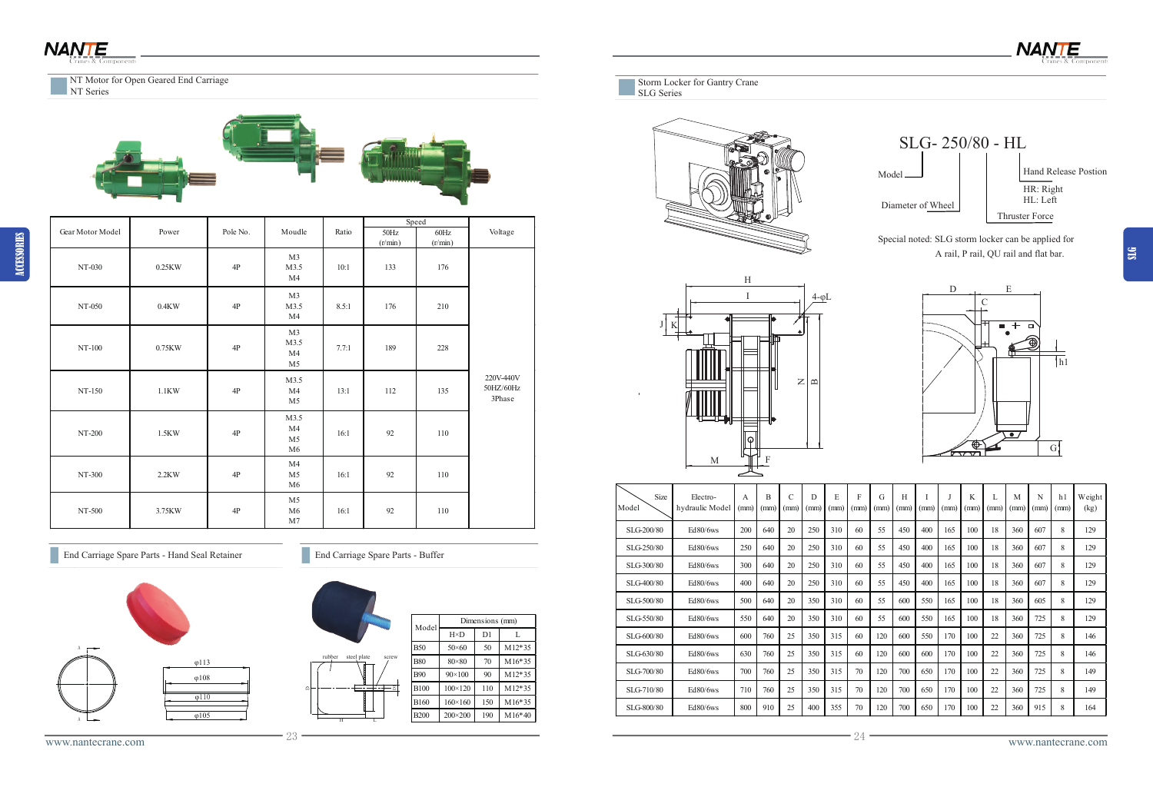ACCESSORIES



Storm Locker for Gantry Crane SLG Series



Special noted: SLG storm locker can be applied for A rail, P rail, QU rail and flat bar.









| Size<br>Model | Electro-<br>hydraulic Model | A<br>(mm) | B<br>(mm) | $\mathcal{C}$<br>(mm) | D<br>(mm) | E<br>(mm) | F<br>(mm) | G<br>(mm) | H<br>(mm) | (mm) | (mm) | K<br>(mm) | (mm) | M<br>(mm) | N<br>(mm) | h1<br>(mm) | Weight<br>(kg) |
|---------------|-----------------------------|-----------|-----------|-----------------------|-----------|-----------|-----------|-----------|-----------|------|------|-----------|------|-----------|-----------|------------|----------------|
| SLG-200/80    | $Ed80/6$ ws                 | 200       | 640       | 20                    | 250       | 310       | 60        | 55        | 450       | 400  | 165  | 100       | 18   | 360       | 607       | 8          | 129            |
| SLG-250/80    | Ed80/6ws                    | 250       | 640       | 20                    | 250       | 310       | 60        | 55        | 450       | 400  | 165  | 100       | 18   | 360       | 607       | 8          | 129            |
| SLG-300/80    | Ed80/6ws                    | 300       | 640       | 20                    | 250       | 310       | 60        | 55        | 450       | 400  | 165  | 100       | 18   | 360       | 607       | 8          | 129            |
| SLG-400/80    | Ed80/6ws                    | 400       | 640       | 20                    | 250       | 310       | 60        | 55        | 450       | 400  | 165  | 100       | 18   | 360       | 607       | 8          | 129            |
| SLG-500/80    | Ed80/6ws                    | 500       | 640       | 20                    | 350       | 310       | 60        | 55        | 600       | 550  | 165  | 100       | 18   | 360       | 605       | 8          | 129            |
| SLG-550/80    | Ed80/6ws                    | 550       | 640       | 20                    | 350       | 310       | 60        | 55        | 600       | 550  | 165  | 100       | 18   | 360       | 725       | 8          | 129            |
| SLG-600/80    | Ed80/6ws                    | 600       | 760       | 25                    | 350       | 315       | 60        | 120       | 600       | 550  | 170  | 100       | 22   | 360       | 725       | 8          | 146            |
| SLG-630/80    | Ed80/6ws                    | 630       | 760       | 25                    | 350       | 315       | 60        | 120       | 600       | 600  | 170  | 100       | 22   | 360       | 725       | 8          | 146            |
| SLG-700/80    | Ed80/6ws                    | 700       | 760       | 25                    | 350       | 315       | 70        | 120       | 700       | 650  | 170  | 100       | 22   | 360       | 725       | 8          | 149            |
| SLG-710/80    | Ed80/6ws                    | 710       | 760       | 25                    | 350       | 315       | 70        | 120       | 700       | 650  | 170  | 100       | 22   | 360       | 725       | 8          | 149            |
| SLG-800/80    | Ed80/6ws                    | 800       | 910       | 25                    | 400       | 355       | 70        | 120       | 700       | 650  | 170  | 100       | 22   | 360       | 915       | 8          | 164            |



NT Series



|             |                  | Dimensions (mm) |          |  |  |  |  |
|-------------|------------------|-----------------|----------|--|--|--|--|
| Model       | $H \times D$     | D1              | L        |  |  |  |  |
| <b>B50</b>  | $50 \times 60$   | 50              | $M12*35$ |  |  |  |  |
| <b>B80</b>  | $80 \times 80$   | 70              | $M16*35$ |  |  |  |  |
| <b>B90</b>  | $90 \times 100$  | 90              | $M12*35$ |  |  |  |  |
| <b>B100</b> | $100 \times 120$ | 110             | $M12*35$ |  |  |  |  |
| <b>B160</b> | $160 \times 160$ | 150             | M16*35   |  |  |  |  |
| <b>B200</b> | $200 \times 200$ | 190             | $M16*40$ |  |  |  |  |

|                      |                   |               |                                                |       | Speed           |                 |                                  |
|----------------------|-------------------|---------------|------------------------------------------------|-------|-----------------|-----------------|----------------------------------|
| Gear Motor Model     | Power             | Pole No.      | Moudle                                         | Ratio | 50Hz<br>(r/min) | 60Hz<br>(r/min) | Voltage                          |
| $NT-030$             | $0.25\mathrm{KW}$ | $4\mathrm{P}$ | M <sub>3</sub><br>M3.5<br>M <sub>4</sub>       | 10:1  | 133             | 176             |                                  |
| $NT-050$             | $0.4\mathrm{KW}$  | $4\mathrm{P}$ | M3<br>M3.5<br>M <sub>4</sub>                   | 8.5:1 | 176             | 210             |                                  |
| NT-100               | $0.75\mathrm{KW}$ | 4P            | M3<br>M3.5<br>M <sub>4</sub><br>M <sub>5</sub> | 7.7:1 | 189             | 228             |                                  |
| NT-150               | $1.1$ KW          | 4P            | M3.5<br>M4<br>M <sub>5</sub>                   | 13:1  | 112             | 135             | 220V-440V<br>50HZ/60Hz<br>3Phase |
| NT-200               | 1.5KW             | 4P            | M3.5<br>M4<br>M <sub>5</sub><br>M6             | 16:1  | 92              | 110             |                                  |
| NT-300               | 2.2KW             | 4P            | M4<br>M <sub>5</sub><br>M6                     | 16:1  | 92              | 110             |                                  |
| $\rm{NT}\text{-}500$ | 3.75KW            | $4\mathrm{P}$ | M <sub>5</sub><br>M6<br>$\rm M7$               | 16:1  | 92              | 110             |                                  |

End Carriage Spare Parts - Hand Seal Retainer End Carriage Spare Parts - Buffer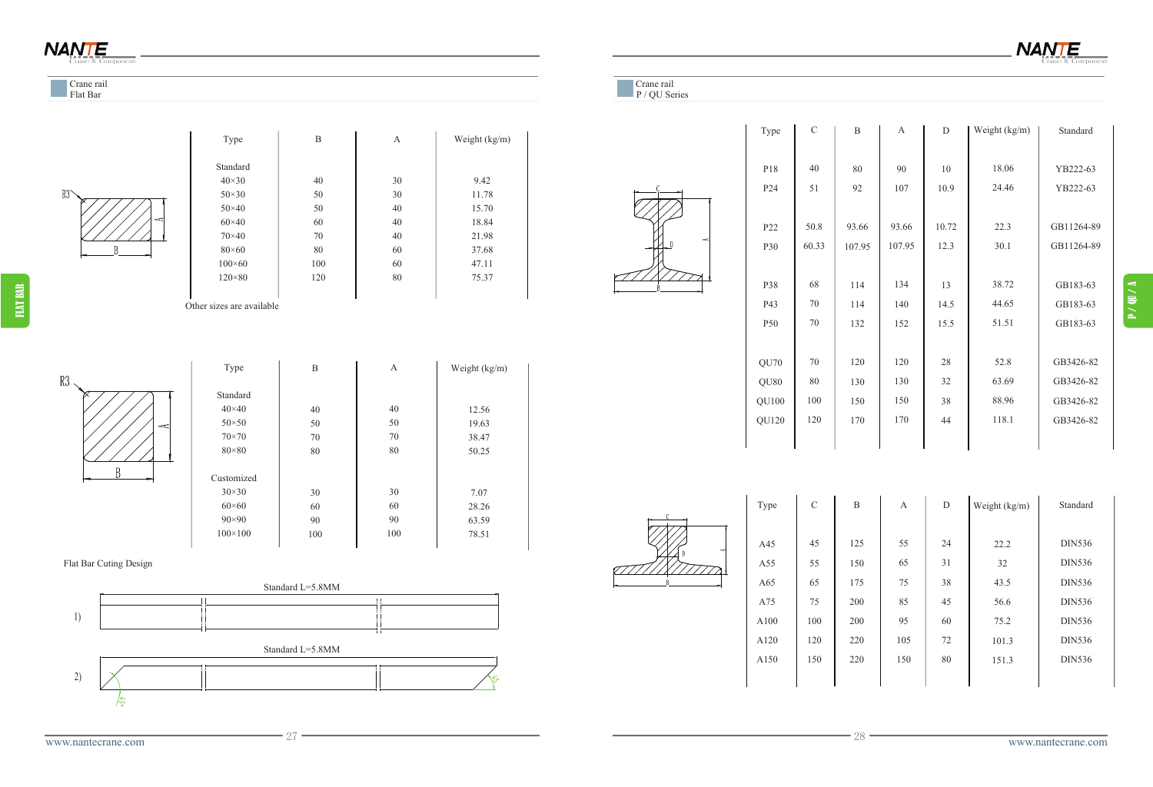**NANTE** 







A100

A120 A150 C



| B   | A   | D  | Weight (kg/m) | Standard      |
|-----|-----|----|---------------|---------------|
|     |     |    |               |               |
| 125 | 55  | 24 | 22.2          | <b>DIN536</b> |
| 150 | 65  | 31 | 32            | <b>DIN536</b> |
| 175 | 75  | 38 | 43.5          | <b>DIN536</b> |
| 200 | 85  | 45 | 56.6          | <b>DIN536</b> |
| 200 | 95  | 60 | 75.2          | <b>DIN536</b> |
| 220 | 105 | 72 | 101.3         | <b>DIN536</b> |
| 220 | 150 | 80 | 151.3         | <b>DIN536</b> |
|     |     |    |               |               |

| Type  | $\mathbf C$ | B      | A      | D     | Weight (kg/m) | Standard   |
|-------|-------------|--------|--------|-------|---------------|------------|
|       |             |        |        |       |               |            |
| P18   | 40          | 80     | 90     | 10    | 18.06         | YB222-63   |
| P24   | 51          | 92     | 107    | 10.9  | 24.46         | YB222-63   |
|       |             |        |        |       |               |            |
| P22   | 50.8        | 93.66  | 93.66  | 10.72 | 22.3          | GB11264-89 |
| P30   | 60.33       | 107.95 | 107.95 | 12.3  | 30.1          | GB11264-89 |
|       |             |        |        |       |               |            |
| P38   | 68          | 114    | 134    | 13    | 38.72         | GB183-63   |
| P43   | 70          | 114    | 140    | 14.5  | 44.65         | GB183-63   |
| P50   | 70          | 132    | 152    | 15.5  | 51.51         | GB183-63   |
|       |             |        |        |       |               |            |
| QU70  | 70          | 120    | 120    | 28    | 52.8          | GB3426-82  |
| QU80  | 80          | 130    | 130    | 32    | 63.69         | GB3426-82  |
| QU100 | 100         | 150    | 150    | 38    | 88.96         | GB3426-82  |
| QU120 | 120         | 170    | 170    | 44    | 118.1         | GB3426-82  |
|       |             |        |        |       |               |            |
|       |             |        |        |       |               |            |

## **NANTE**

## Crane rail

Flat Bar Cuting Design

Flat Bar



| Type           | B   | A  | Weight (kg/m) |
|----------------|-----|----|---------------|
| Standard       |     |    |               |
| $40\times30$   | 40  | 30 | 9.42          |
| $50\times30$   | 50  | 30 | 11.78         |
| $50\times40$   | 50  | 40 | 15.70         |
| $60\times40$   | 60  | 40 | 18.84         |
| $70\times40$   | 70  | 40 | 21.98         |
| $80\times60$   | 80  | 60 | 37.68         |
| $100\times 60$ | 100 | 60 | 47.11         |
| $120\times80$  | 120 | 80 | 75.37         |
|                |     |    |               |

Other sizes are available



| Type           | B   | A   | Weight (kg/m) |
|----------------|-----|-----|---------------|
| Standard       |     |     |               |
| $40\times40$   | 40  | 40  | 12.56         |
| $50 \times 50$ | 50  | 50  | 19.63         |
| $70\times70$   | 70  | 70  | 38.47         |
| $80 \times 80$ | 80  | 80  | 50.25         |
| Customized     |     |     |               |
| $30\times30$   | 30  | 30  | 7.07          |
| $60\times 60$  | 60  | 60  | 28.26         |
| $90 \times 90$ | 90  | 90  | 63.59         |
| $100\times100$ | 100 | 100 | 78.51         |

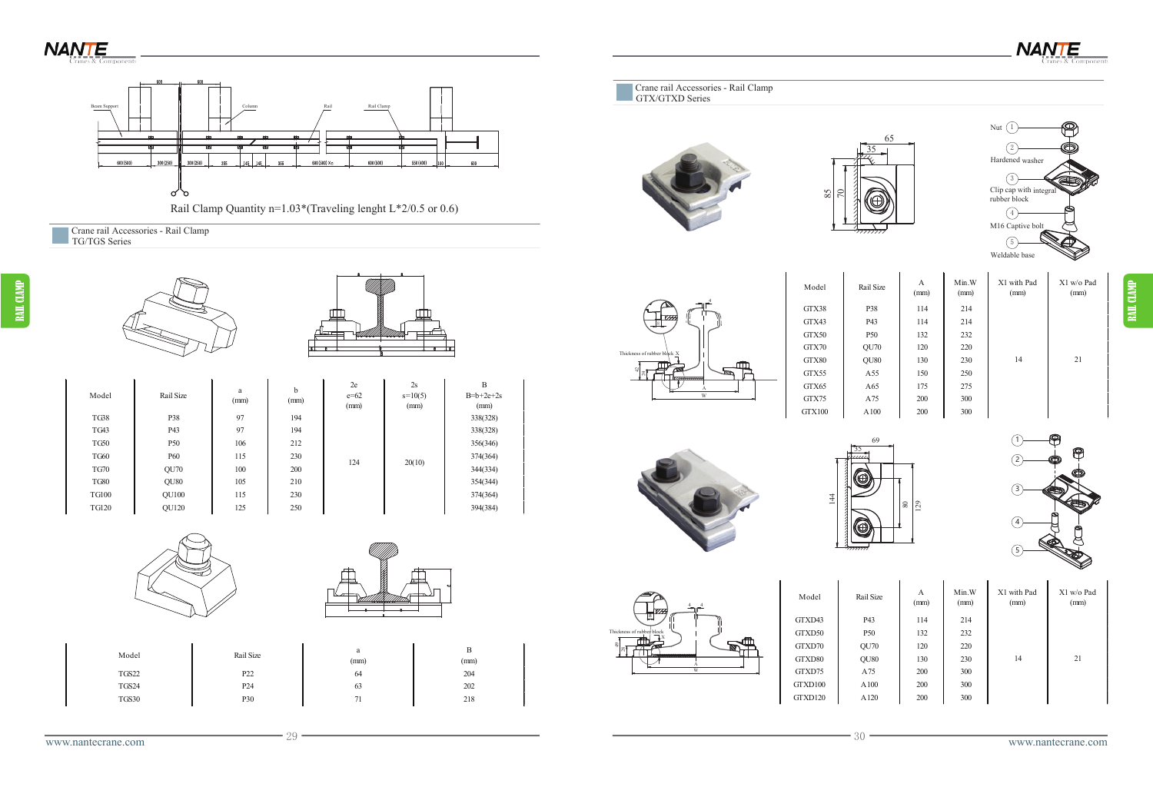



RAIL CLAMP



42 Thickness of rubber 70

85

RAIL CLAMP Nut (1  $\left( 2\right)$  $\left( \begin{matrix} 3 \end{matrix} \right)$  $\bigcirc$  $\binom{5}{ }$ Hardened washer Clip cap with integral rubber block M16 Captive bolt Weldable base 65 <u>35</u>  $\overline{29}$  $\frac{8}{2}$ 69 1 2 3 4 5 Model Rail Size A (mm) Min.W (mm) X1 with Pad (mm) X1 w/o Pad (mm) GTX38 P38 114 214 GTX43 P43 114 214 GTX50 P50 132 232 GTX70 QU70 120 220 GTX80 QU80 130 230 GTX55 A55 150 250 GTX65 A65 175 275 GTX75 A75 200 300 GTX100 A100 200 300 14 21

X

**NANTE** 

4

W A

8

Thickness of rubber block



4 4

X

24

| lail Size        | A<br>(mm) | Min.W<br>(mm) | X1 with Pad<br>(mm) | X1 w/o Pad<br>(mm) |
|------------------|-----------|---------------|---------------------|--------------------|
| P43              | 114       | 214           |                     |                    |
| P <sub>50</sub>  | 132       | 232           |                     |                    |
| QU70             | 120       | 220           |                     |                    |
| QU <sub>80</sub> | 130       | 230           | 14                  | 21                 |
| A75              | 200       | 300           |                     |                    |
| A100             | 200       | 300           |                     |                    |
| A120             | 200       | 300           |                     |                    |



www.nantecrane.com 29

|       |                 |        |      | m<br>$\mathbb{R}^{\mathbb{C}}$ |         |      |     |     |    |               |
|-------|-----------------|--------|------|--------------------------------|---------|------|-----|-----|----|---------------|
|       |                 |        |      | ~~                             | GTXD70  | QU70 | 120 | 220 |    |               |
| Model | Rail Size       | (mm)   | (mm) |                                | GTXD80  | QU80 | 130 | 230 | 14 | $\sim$<br>ر پ |
| TGS22 | P <sub>22</sub> |        | 204  |                                | GTXD75  | A75  | 200 | 300 |    |               |
| TGS24 | P <sub>24</sub> | $\sim$ | 202  |                                | GTXD100 | A100 | 200 | 300 |    |               |
| TGS30 | P30             |        | 218  |                                | GTXD120 | A120 | 200 | 300 |    |               |
|       |                 |        |      |                                |         |      |     |     |    |               |



| Model        | Rail Size        | a<br>(mm) | b<br>(mm) | 2e<br>$e = 62$<br>(mm) | 2s<br>$s=10(5)$<br>(mm) | B<br>$B=b+2e+2$<br>(mm) |
|--------------|------------------|-----------|-----------|------------------------|-------------------------|-------------------------|
| <b>TG38</b>  | P38              | 97        | 194       |                        |                         | 338(328)                |
| TG43         | P43              | 97        | 194       |                        |                         | 338(328)                |
| <b>TG50</b>  | P <sub>50</sub>  | 106       | 212       |                        |                         | 356(346)                |
| <b>TG60</b>  | P <sub>60</sub>  | 115       | 230       | 124                    |                         | 374(364)                |
| <b>TG70</b>  | <b>OU70</b>      | 100       | 200       |                        | 20(10)                  | 344(334)                |
| <b>TG80</b>  | QU <sub>80</sub> | 105       | 210       |                        |                         | 354(344)                |
| <b>TG100</b> | <b>OU100</b>     | 115       | 230       |                        |                         | 374(364)                |
| <b>TG120</b> | <b>OU120</b>     | 125       | 250       |                        |                         | 394(384)                |

| Model        | Rail Size        | a<br>(mm)            | b<br>(mm) | 2e<br>$e = 62$<br>(mm) | 2s<br>$s=10(5)$<br>(mm) | B<br>$B=b+2e+2s$<br>(mm) |
|--------------|------------------|----------------------|-----------|------------------------|-------------------------|--------------------------|
| <b>TG38</b>  | P38              | 97                   | 194       |                        | 20(10)                  | 338(328)                 |
| TG43         | P43              | 97                   | 194       |                        |                         | 338(328)                 |
| <b>TG50</b>  | P <sub>50</sub>  | 106                  | 212       |                        |                         | 356(346)                 |
| <b>TG60</b>  | <b>P60</b>       | 115                  | 230       | 124                    |                         | 374(364)                 |
| <b>TG70</b>  | QU70             | 100                  | 200       |                        |                         | 344(334)                 |
| <b>TG80</b>  | QU <sub>80</sub> | 105                  | 210       |                        |                         | 354(344)                 |
| <b>TG100</b> | QU100            | 115                  | 230       |                        |                         | 374(364)                 |
| ____         | ------           | $\sim$ $\sim$ $\sim$ | $- - -$   |                        |                         | ------                   |